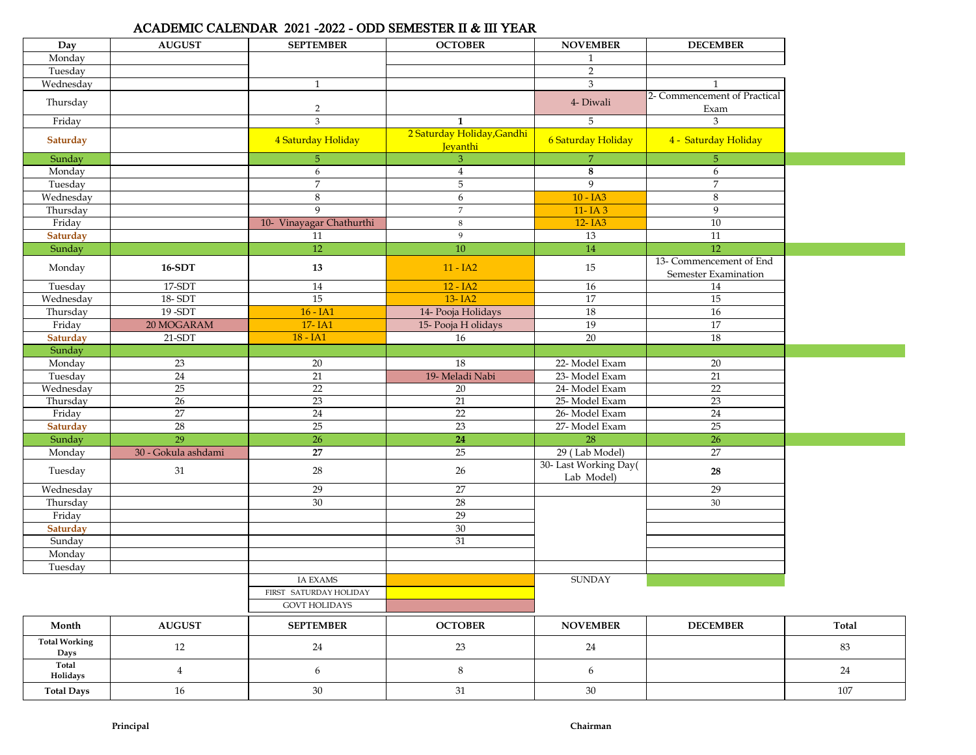## ACADEMIC CALENDAR 2021 -2022 - ODD SEMESTER II & III YEAR

| Day                  | <b>AUGUST</b>       | <b>SEPTEMBER</b>         | <b>OCTOBER</b>             | <b>NOVEMBER</b>              | <b>DECEMBER</b>              |       |
|----------------------|---------------------|--------------------------|----------------------------|------------------------------|------------------------------|-------|
| Monday               |                     |                          |                            | $\mathbf{1}$                 |                              |       |
| Tuesday              |                     |                          |                            | $\overline{2}$               |                              |       |
| Wednesday            |                     | $\mathbf{1}$             |                            | 3                            | $\mathbf{1}$                 |       |
| Thursday             |                     |                          |                            | 4- Diwali                    | 2- Commencement of Practical |       |
|                      |                     | $\sqrt{2}$               |                            |                              | Exam                         |       |
| Friday               |                     | 3                        | $\mathbf{1}$               | 5                            | 3                            |       |
| Saturday             |                     | 4 Saturday Holiday       | 2 Saturday Holiday, Gandhi | 6 Saturday Holiday           | 4 - Saturday Holiday         |       |
|                      |                     |                          | Jeyanthi                   |                              |                              |       |
| Sunday               |                     | 5                        | 3                          | $\overline{7}$               | $\overline{5}$               |       |
| Monday               |                     | 6                        | $\overline{4}$             | 8                            | 6                            |       |
| Tuesday              |                     | $\overline{7}$           | $5\phantom{.}$             | $\overline{9}$<br>$10 - IA3$ | $\overline{7}$               |       |
| Wednesday            |                     | 8<br>9                   | 6                          |                              | 8                            |       |
| Thursday             |                     |                          | $\overline{7}$             | 11-IA3                       | 9                            |       |
| Friday               |                     | 10- Vinayagar Chathurthi | $\,8\,$<br>9               | 12-IA3                       | 10                           |       |
| <b>Saturday</b>      |                     | $11\,$<br>12             | 10                         | 13                           | 11<br>12                     |       |
| Sunday               |                     |                          |                            | $14\,$                       | 13- Commencement of End      |       |
| Monday               | 16-SDT              | 13                       | $11 - IA2$                 | 15                           | Semester Examination         |       |
| Tuesday              | 17-SDT              | 14                       | $12 - IA2$                 | 16                           | 14                           |       |
| Wednesday            | 18-SDT              | 15                       | 13-IA2                     | 17                           | 15                           |       |
| Thursday             | 19-SDT              | $16 - IA1$               | 14- Pooja Holidays         | <b>18</b>                    | 16                           |       |
| Friday               | 20 MOGARAM          | 17-IA1                   | 15- Pooja H olidays        | 19                           | 17                           |       |
| Saturday             | $21-SDT$            | $18 - IA1$               | 16                         | 20                           | 18                           |       |
| Sunday               |                     |                          |                            |                              |                              |       |
| Monday               | 23                  | 20                       | 18                         | 22- Model Exam               | 20                           |       |
| Tuesday              | $\overline{24}$     | 21                       | 19- Meladi Nabi            | 23- Model Exam               | 21                           |       |
| Wednesday            | $\overline{25}$     | $\overline{22}$          | 20                         | 24- Model Exam               | $\overline{22}$              |       |
| Thursday             | 26                  | 23                       | 21                         | 25- Model Exam               | 23                           |       |
| Friday               | $\overline{27}$     | $\overline{24}$          | 22                         | 26-Model Exam                | 24                           |       |
| <b>Saturday</b>      | 28                  | 25                       | 23                         | 27- Model Exam               | 25                           |       |
| Sunday               | 29                  | $\overline{26}$          | $\overline{24}$            | 28                           | $\overline{26}$              |       |
| Monday               | 30 - Gokula ashdami | $\overline{27}$          | $\overline{25}$            | 29 (Lab Model)               | $\overline{27}$              |       |
| Tuesday              | 31                  | $28\,$                   | $26\,$                     | 30- Last Working Day(        | 28                           |       |
|                      |                     |                          |                            | Lab Model)                   |                              |       |
| Wednesday            |                     | 29                       | $\overline{27}$            |                              | 29                           |       |
| Thursday             |                     | 30                       | 28                         |                              | 30                           |       |
| Friday               |                     |                          | 29                         |                              |                              |       |
| <b>Saturday</b>      |                     |                          | 30                         |                              |                              |       |
| Sunday               |                     |                          | $\overline{31}$            |                              |                              |       |
| Monday               |                     |                          |                            |                              |                              |       |
| Tuesday              |                     |                          |                            |                              |                              |       |
|                      |                     | <b>IA EXAMS</b>          |                            | <b>SUNDAY</b>                |                              |       |
|                      |                     | FIRST SATURDAY HOLIDAY   |                            |                              |                              |       |
|                      |                     | <b>GOVT HOLIDAYS</b>     |                            |                              |                              |       |
| Month                | <b>AUGUST</b>       | <b>SEPTEMBER</b>         | <b>OCTOBER</b>             | <b>NOVEMBER</b>              | <b>DECEMBER</b>              | Total |
| <b>Total Working</b> |                     |                          |                            |                              |                              |       |
| Days                 | 12                  | 24                       | $23\,$                     | 24                           |                              | 83    |
| Total<br>Holidays    | $\overline{4}$      | 6                        | $8\,$                      | 6                            |                              | 24    |
| <b>Total Days</b>    | $16\,$              | $30\,$                   | $31\,$                     | $30\,$                       |                              | 107   |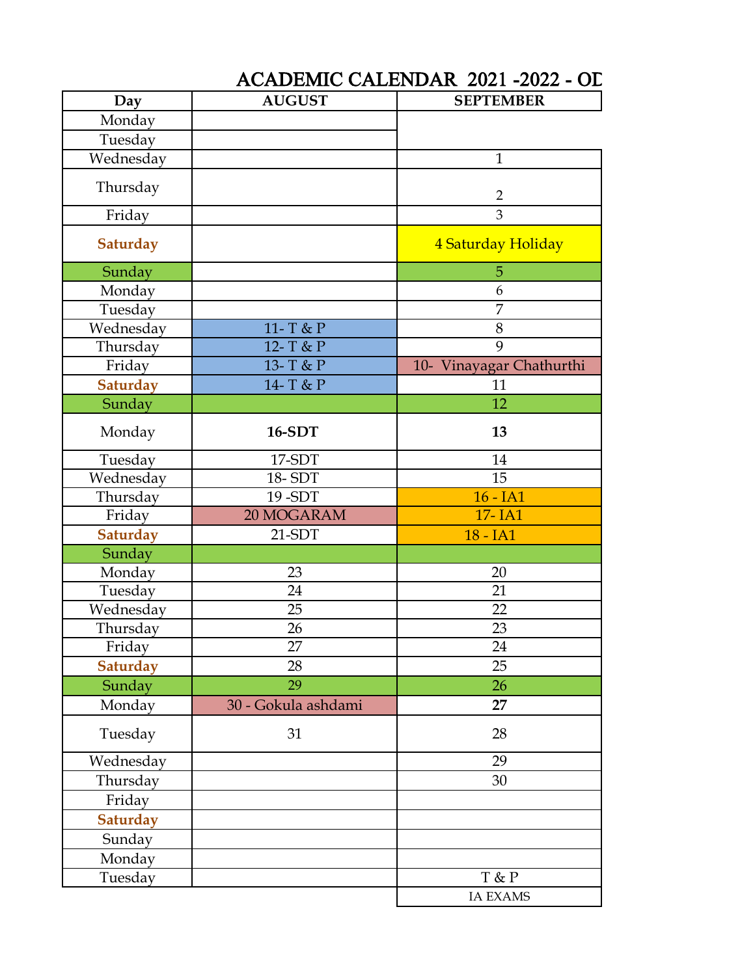## ACADEMIC CALENDAR 2021 -2022 - OD

| Day             | <b>AUGUST</b>       | <b>SEPTEMBER</b>         |
|-----------------|---------------------|--------------------------|
| Monday          |                     |                          |
| Tuesday         |                     |                          |
| Wednesday       |                     | $\mathbf{1}$             |
| Thursday        |                     | $\overline{2}$           |
| Friday          |                     | 3                        |
| <b>Saturday</b> |                     | 4 Saturday Holiday       |
| Sunday          |                     | 5                        |
| Monday          |                     | 6                        |
| Tuesday         |                     | 7                        |
| Wednesday       | 11- T & P           | $8\,$                    |
| Thursday        | 12- T & P           | 9                        |
| Friday          | 13- T & P           | 10- Vinayagar Chathurthi |
| <b>Saturday</b> | 14- T & P           | 11                       |
| Sunday          |                     | 12                       |
| Monday          | <b>16-SDT</b>       | 13                       |
| Tuesday         | 17-SDT              | 14                       |
| Wednesday       | 18-SDT              | 15                       |
| Thursday        | 19-SDT              | $16 - IA1$               |
| Friday          | 20 MOGARAM          | 17-IA1                   |
| <b>Saturday</b> | $21-SDT$            | 18 - IA1                 |
| Sunday          |                     |                          |
| Monday          | 23                  | 20                       |
| Tuesday         | 24                  | 21                       |
| Wednesday       | 25                  | 22                       |
| Thursday        | 26                  | 23                       |
| Friday          | 27                  | 24                       |
| <b>Saturday</b> | 28                  | 25                       |
| Sunday          | 29                  | 26                       |
| Monday          | 30 - Gokula ashdami | 27                       |
| Tuesday         | 31                  | 28                       |
| Wednesday       |                     | 29                       |
| Thursday        |                     | 30                       |
| Friday          |                     |                          |
| Saturday        |                     |                          |
| Sunday          |                     |                          |
| Monday          |                     |                          |
| Tuesday         |                     | T & P                    |
|                 |                     | <b>IA EXAMS</b>          |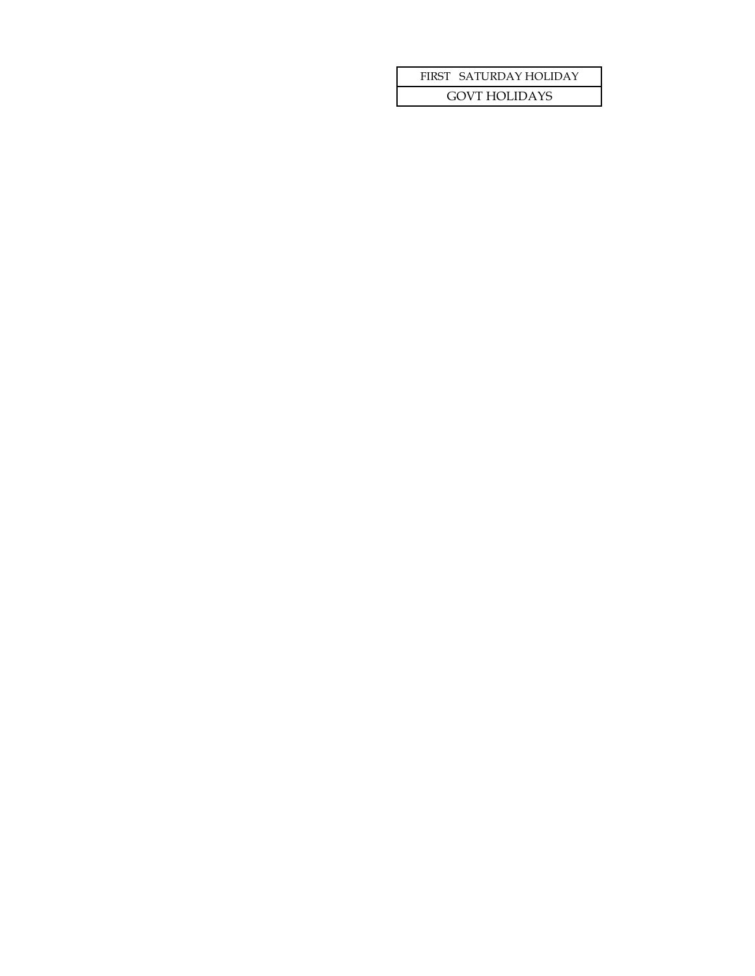## FIRST SATURDAY HOLIDAY

GOVT HOLIDAYS